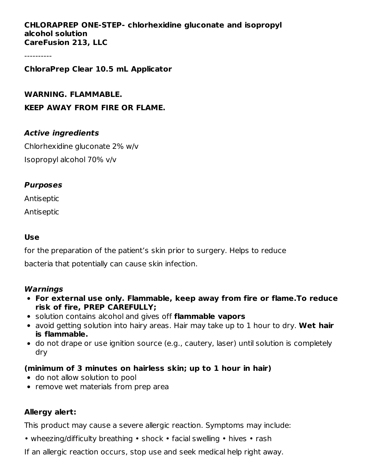#### **CHLORAPREP ONE-STEP- chlorhexidine gluconate and isopropyl alcohol solution CareFusion 213, LLC**

----------

#### **ChloraPrep Clear 10.5 mL Applicator**

**WARNING. FLAMMABLE. KEEP AWAY FROM FIRE OR FLAME.**

#### **Active ingredients**

Chlorhexidine gluconate 2% w/v Isopropyl alcohol 70% v/v

#### **Purposes**

Antiseptic

Antiseptic

#### **Use**

for the preparation of the patient's skin prior to surgery. Helps to reduce bacteria that potentially can cause skin infection.

#### **Warnings**

- **For external use only. Flammable, keep away from fire or flame.To reduce risk of fire, PREP CAREFULLY;**
- solution contains alcohol and gives off **flammable vapors**
- avoid getting solution into hairy areas. Hair may take up to 1 hour to dry. **Wet hair is flammable.**
- do not drape or use ignition source (e.g., cautery, laser) until solution is completely dry

#### **(minimum of 3 minutes on hairless skin; up to 1 hour in hair)**

- do not allow solution to pool
- remove wet materials from prep area

### **Allergy alert:**

This product may cause a severe allergic reaction. Symptoms may include:

• wheezing/difficulty breathing • shock • facial swelling • hives • rash

If an allergic reaction occurs, stop use and seek medical help right away.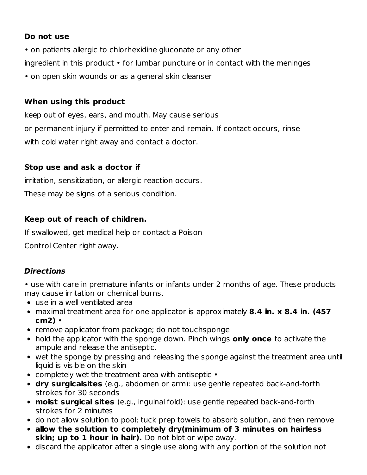## **Do not use**

- on patients allergic to chlorhexidine gluconate or any other ingredient in this product • for lumbar puncture or in contact with the meninges
- on open skin wounds or as a general skin cleanser

# **When using this product**

keep out of eyes, ears, and mouth. May cause serious or permanent injury if permitted to enter and remain. If contact occurs, rinse with cold water right away and contact a doctor.

# **Stop use and ask a doctor if**

irritation, sensitization, or allergic reaction occurs.

These may be signs of a serious condition.

# **Keep out of reach of children.**

If swallowed, get medical help or contact a Poison

Control Center right away.

# **Directions**

- use with care in premature infants or infants under 2 months of age. These products may cause irritation or chemical burns.
- use in a well ventilated area
- maximal treatment area for one applicator is approximately **8.4 in. x 8.4 in. (457 cm2)** •
- remove applicator from package; do not touchsponge
- hold the applicator with the sponge down. Pinch wings **only once** to activate the ampule and release the antiseptic.
- wet the sponge by pressing and releasing the sponge against the treatment area until liquid is visible on the skin
- completely wet the treatment area with antiseptic •
- **dry surgicalsites** (e.g., abdomen or arm): use gentle repeated back-and-forth strokes for 30 seconds
- **moist surgical sites** (e.g., inguinal fold): use gentle repeated back-and-forth strokes for 2 minutes
- do not allow solution to pool; tuck prep towels to absorb solution, and then remove
- **allow the solution to completely dry(minimum of 3 minutes on hairless skin; up to 1 hour in hair).** Do not blot or wipe away.
- discard the applicator after a single use along with any portion of the solution not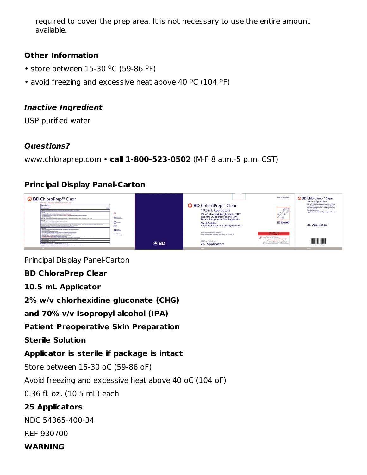required to cover the prep area. It is not necessary to use the entire amount available.

## **Other Information**

- $\cdot$  store between 15-30 °C (59-86 °F)
- avoid freezing and excessive heat above 40 °C (104 °F)

### **Inactive Ingredient**

USP purified water

## **Questions?**

www.chloraprep.com • **call 1-800-523-0502** (M-F 8 a.m.-5 p.m. CST)

## **Principal Display Panel-Carton**



Principal Display Panel-Carton

### **BD ChloraPrep Clear**

### **10.5 mL Applicator**

**2% w/v chlorhexidine gluconate (CHG)**

**and 70% v/v Isopropyl alcohol (IPA)**

### **Patient Preoperative Skin Preparation**

**Sterile Solution**

### **Applicator is sterile if package is intact**

Store between 15-30 oC (59-86 oF)

Avoid freezing and excessive heat above 40 oC (104 oF)

0.36 fl. oz. (10.5 mL) each

# **25 Applicators**

NDC 54365-400-34

REF 930700

#### **WARNING**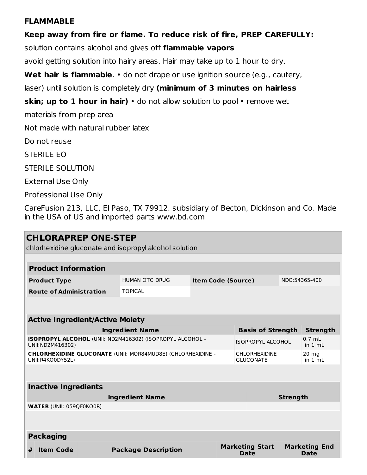#### **FLAMMABLE**

**Keep away from fire or flame. To reduce risk of fire, PREP CAREFULLY:** solution contains alcohol and gives off **flammable vapors** avoid getting solution into hairy areas. Hair may take up to 1 hour to dry. **Wet hair is flammable**. • do not drape or use ignition source (e.g., cautery, laser) until solution is completely dry **(minimum of 3 minutes on hairless skin; up to 1 hour in hair)** • do not allow solution to pool • remove wet materials from prep area Not made with natural rubber latex Do not reuse STERILE EO STERILE SOLUTION External Use Only Professional Use Only

CareFusion 213, LLC, El Paso, TX 79912. subsidiary of Becton, Dickinson and Co. Made in the USA of US and imported parts www.bd.com

| <b>CHLORAPREP ONE-STEP</b>                                                      |                                                  |                                                    |  |                                       |                                              |                              |                              |  |
|---------------------------------------------------------------------------------|--------------------------------------------------|----------------------------------------------------|--|---------------------------------------|----------------------------------------------|------------------------------|------------------------------|--|
| chlorhexidine gluconate and isopropyl alcohol solution                          |                                                  |                                                    |  |                                       |                                              |                              |                              |  |
|                                                                                 |                                                  |                                                    |  |                                       |                                              |                              |                              |  |
| <b>Product Information</b>                                                      |                                                  |                                                    |  |                                       |                                              |                              |                              |  |
| <b>Product Type</b>                                                             |                                                  | <b>HUMAN OTC DRUG</b><br><b>Item Code (Source)</b> |  |                                       |                                              | NDC:54365-400                |                              |  |
|                                                                                 | <b>Route of Administration</b><br><b>TOPICAL</b> |                                                    |  |                                       |                                              |                              |                              |  |
|                                                                                 |                                                  |                                                    |  |                                       |                                              |                              |                              |  |
| <b>Active Ingredient/Active Moiety</b>                                          |                                                  |                                                    |  |                                       |                                              |                              |                              |  |
|                                                                                 |                                                  | <b>Basis of Strength</b>                           |  | <b>Strength</b>                       |                                              |                              |                              |  |
| ISOPROPYL ALCOHOL (UNII: ND2M416302) (ISOPROPYL ALCOHOL -<br>UNII: ND2M416302)  |                                                  |                                                    |  |                                       | $0.7 \text{ mL}$<br><b>ISOPROPYL ALCOHOL</b> |                              | in $1 mL$                    |  |
| CHLORHEXIDINE GLUCONATE (UNII: MOR84MUD8E) (CHLORHEXIDINE -<br>UNII:R4KO0DY52L) |                                                  |                                                    |  |                                       | <b>CHLORHEXIDINE</b><br><b>GLUCONATE</b>     |                              | $20 \text{ mg}$<br>in $1 mL$ |  |
|                                                                                 |                                                  |                                                    |  |                                       |                                              |                              |                              |  |
| <b>Inactive Ingredients</b>                                                     |                                                  |                                                    |  |                                       |                                              |                              |                              |  |
| <b>Ingredient Name</b>                                                          |                                                  |                                                    |  |                                       | <b>Strength</b>                              |                              |                              |  |
| <b>WATER (UNII: 059QF0KO0R)</b>                                                 |                                                  |                                                    |  |                                       |                                              |                              |                              |  |
|                                                                                 |                                                  |                                                    |  |                                       |                                              |                              |                              |  |
| <b>Packaging</b>                                                                |                                                  |                                                    |  |                                       |                                              |                              |                              |  |
| <b>Item Code</b><br>#                                                           | <b>Package Description</b>                       |                                                    |  | <b>Marketing Start</b><br><b>Date</b> |                                              | <b>Marketing End</b><br>Date |                              |  |
|                                                                                 |                                                  |                                                    |  |                                       |                                              |                              |                              |  |